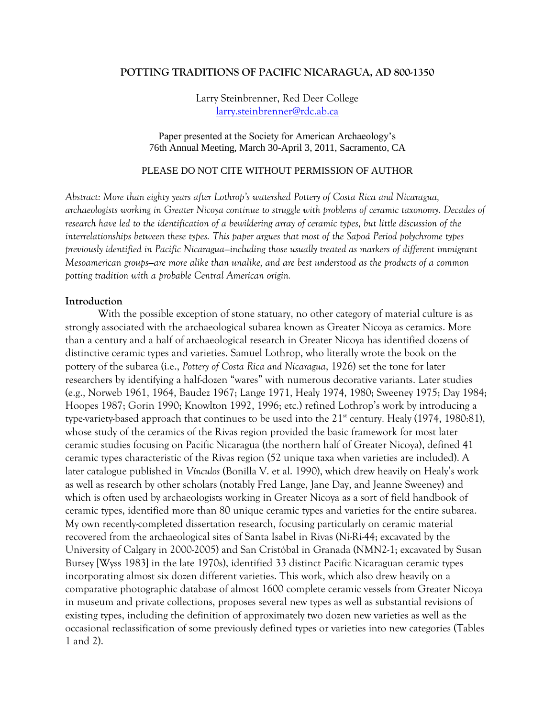## **POTTING TRADITIONS OF PACIFIC NICARAGUA, AD 800-1350**

Larry Steinbrenner, Red Deer College [larry.steinbrenner@rdc.ab.ca](mailto:larry.steinbrenner@rdc.ab.ca)

Paper presented at the Society for American Archaeology's 76th Annual Meeting, March 30-April 3, 2011, Sacramento, CA

### PLEASE DO NOT CITE WITHOUT PERMISSION OF AUTHOR

*Abstract: More than eighty years after Lothrop's watershed Pottery of Costa Rica and Nicaragua, archaeologists working in Greater Nicoya continue to struggle with problems of ceramic taxonomy. Decades of research have led to the identification of a bewildering array of ceramic types, but little discussion of the interrelationships between these types. This paper argues that most of the Sapoá Period polychrome types previously identified in Pacific Nicaragua—including those usually treated as markers of different immigrant Mesoamerican groups—are more alike than unalike, and are best understood as the products of a common potting tradition with a probable Central American origin.*

#### **Introduction**

With the possible exception of stone statuary, no other category of material culture is as strongly associated with the archaeological subarea known as Greater Nicoya as ceramics. More than a century and a half of archaeological research in Greater Nicoya has identified dozens of distinctive ceramic types and varieties. Samuel Lothrop, who literally wrote the book on the pottery of the subarea (i.e., *Pottery of Costa Rica and Nicaragua*, 1926) set the tone for later researchers by identifying a half-dozen "wares" with numerous decorative variants. Later studies (e.g., Norweb 1961, 1964, Baudez 1967; Lange 1971, Healy 1974, 1980; Sweeney 1975; Day 1984; Hoopes 1987; Gorin 1990; Knowlton 1992, 1996; etc.) refined Lothrop's work by introducing a type-variety-based approach that continues to be used into the  $21<sup>st</sup>$  century. Healy (1974, 1980:81), whose study of the ceramics of the Rivas region provided the basic framework for most later ceramic studies focusing on Pacific Nicaragua (the northern half of Greater Nicoya), defined 41 ceramic types characteristic of the Rivas region (52 unique taxa when varieties are included). A later catalogue published in *Vínculos* (Bonilla V. et al. 1990), which drew heavily on Healy's work as well as research by other scholars (notably Fred Lange, Jane Day, and Jeanne Sweeney) and which is often used by archaeologists working in Greater Nicoya as a sort of field handbook of ceramic types, identified more than 80 unique ceramic types and varieties for the entire subarea. My own recently-completed dissertation research, focusing particularly on ceramic material recovered from the archaeological sites of Santa Isabel in Rivas (Ni-Ri-44; excavated by the University of Calgary in 2000-2005) and San Cristóbal in Granada (NMN2-1; excavated by Susan Bursey [Wyss 1983] in the late 1970s), identified 33 distinct Pacific Nicaraguan ceramic types incorporating almost six dozen different varieties. This work, which also drew heavily on a comparative photographic database of almost 1600 complete ceramic vessels from Greater Nicoya in museum and private collections, proposes several new types as well as substantial revisions of existing types, including the definition of approximately two dozen new varieties as well as the occasional reclassification of some previously defined types or varieties into new categories (Tables 1 and 2).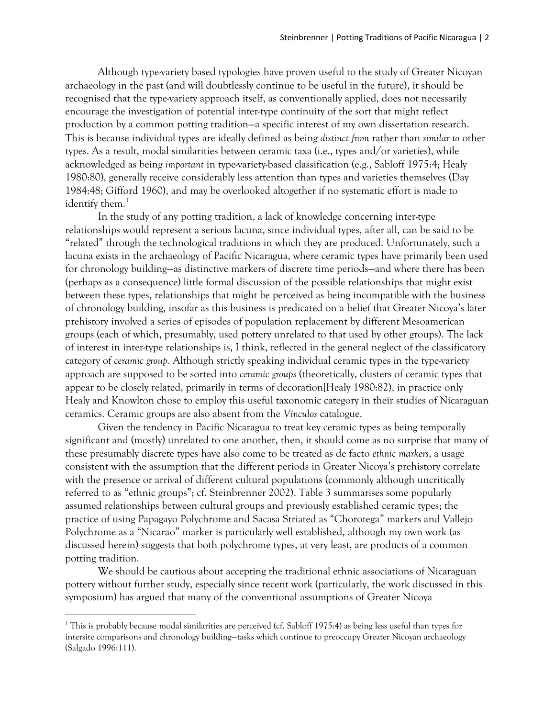Although type-variety based typologies have proven useful to the study of Greater Nicoyan archaeology in the past (and will doubtlessly continue to be useful in the future), it should be recognised that the type-variety approach itself, as conventionally applied, does not necessarily encourage the investigation of potential inter-type continuity of the sort that might reflect production by a common potting tradition—a specific interest of my own dissertation research. This is because individual types are ideally defined as being *distinct from* rather than *similar to* other types. As a result, modal similarities between ceramic taxa (i.e., types and/or varieties), while acknowledged as being *important* in type-variety-based classification (e.g., Sabloff 1975:4; Healy 1980:80), generally receive considerably less attention than types and varieties themselves (Day 1984:48; Gifford 1960), and may be overlooked altogether if no systematic effort is made to identify them. $<sup>1</sup>$ </sup>

In the study of any potting tradition, a lack of knowledge concerning inter-type relationships would represent a serious lacuna, since individual types, after all, can be said to be "related" through the technological traditions in which they are produced. Unfortunately, such a lacuna exists in the archaeology of Pacific Nicaragua, where ceramic types have primarily been used for chronology building—as distinctive markers of discrete time periods—and where there has been (perhaps as a consequence) little formal discussion of the possible relationships that might exist between these types, relationships that might be perceived as being incompatible with the business of chronology building, insofar as this business is predicated on a belief that Greater Nicoya's later prehistory involved a series of episodes of population replacement by different Mesoamerican groups (each of which, presumably, used pottery unrelated to that used by other groups). The lack of interest in inter-type relationships is, I think, reflected in the general neglect of the classificatory category of *ceramic group*. Although strictly speaking individual ceramic types in the type-variety approach are supposed to be sorted into *ceramic groups* (theoretically, clusters of ceramic types that appear to be closely related, primarily in terms of decoration[Healy 1980:82), in practice only Healy and Knowlton chose to employ this useful taxonomic category in their studies of Nicaraguan ceramics. Ceramic groups are also absent from the *Vínculos* catalogue.

Given the tendency in Pacific Nicaragua to treat key ceramic types as being temporally significant and (mostly) unrelated to one another, then, it should come as no surprise that many of these presumably discrete types have also come to be treated as de facto *ethnic markers*, a usage consistent with the assumption that the different periods in Greater Nicoya's prehistory correlate with the presence or arrival of different cultural populations (commonly although uncritically referred to as "ethnic groups"; cf. Steinbrenner 2002). Table 3 summarises some popularly assumed relationships between cultural groups and previously established ceramic types; the practice of using Papagayo Polychrome and Sacasa Striated as "Chorotega" markers and Vallejo Polychrome as a "Nicarao" marker is particularly well established, although my own work (as discussed herein) suggests that both polychrome types, at very least, are products of a common potting tradition.

We should be cautious about accepting the traditional ethnic associations of Nicaraguan pottery without further study, especially since recent work (particularly, the work discussed in this symposium) has argued that many of the conventional assumptions of Greater Nicoya

<sup>&</sup>lt;sup>1</sup> This is probably because modal similarities are perceived (cf. Sabloff 1975:4) as being less useful than types for intersite comparisons and chronology building—tasks which continue to preoccupy Greater Nicoyan archaeology (Salgado 1996:111).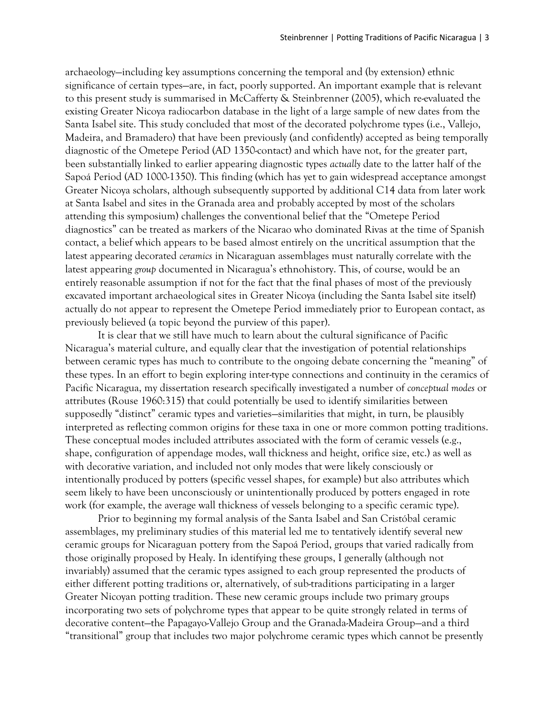archaeology—including key assumptions concerning the temporal and (by extension) ethnic significance of certain types—are, in fact, poorly supported. An important example that is relevant to this present study is summarised in McCafferty & Steinbrenner (2005), which re-evaluated the existing Greater Nicoya radiocarbon database in the light of a large sample of new dates from the Santa Isabel site. This study concluded that most of the decorated polychrome types (i.e., Vallejo, Madeira, and Bramadero) that have been previously (and confidently) accepted as being temporally diagnostic of the Ometepe Period (AD 1350-contact) and which have not, for the greater part, been substantially linked to earlier appearing diagnostic types *actually* date to the latter half of the Sapoá Period (AD 1000-1350). This finding (which has yet to gain widespread acceptance amongst Greater Nicoya scholars, although subsequently supported by additional C14 data from later work at Santa Isabel and sites in the Granada area and probably accepted by most of the scholars attending this symposium) challenges the conventional belief that the "Ometepe Period diagnostics" can be treated as markers of the Nicarao who dominated Rivas at the time of Spanish contact, a belief which appears to be based almost entirely on the uncritical assumption that the latest appearing decorated *ceramics* in Nicaraguan assemblages must naturally correlate with the latest appearing *group* documented in Nicaragua's ethnohistory. This, of course, would be an entirely reasonable assumption if not for the fact that the final phases of most of the previously excavated important archaeological sites in Greater Nicoya (including the Santa Isabel site itself) actually do *not* appear to represent the Ometepe Period immediately prior to European contact, as previously believed (a topic beyond the purview of this paper).

It is clear that we still have much to learn about the cultural significance of Pacific Nicaragua's material culture, and equally clear that the investigation of potential relationships between ceramic types has much to contribute to the ongoing debate concerning the "meaning" of these types. In an effort to begin exploring inter-type connections and continuity in the ceramics of Pacific Nicaragua, my dissertation research specifically investigated a number of *conceptual modes* or attributes (Rouse 1960:315) that could potentially be used to identify similarities between supposedly "distinct" ceramic types and varieties—similarities that might, in turn, be plausibly interpreted as reflecting common origins for these taxa in one or more common potting traditions. These conceptual modes included attributes associated with the form of ceramic vessels (e.g., shape, configuration of appendage modes, wall thickness and height, orifice size, etc.) as well as with decorative variation, and included not only modes that were likely consciously or intentionally produced by potters (specific vessel shapes, for example) but also attributes which seem likely to have been unconsciously or unintentionally produced by potters engaged in rote work (for example, the average wall thickness of vessels belonging to a specific ceramic type).

Prior to beginning my formal analysis of the Santa Isabel and San Cristóbal ceramic assemblages, my preliminary studies of this material led me to tentatively identify several new ceramic groups for Nicaraguan pottery from the Sapoá Period, groups that varied radically from those originally proposed by Healy. In identifying these groups, I generally (although not invariably) assumed that the ceramic types assigned to each group represented the products of either different potting traditions or, alternatively, of sub-traditions participating in a larger Greater Nicoyan potting tradition. These new ceramic groups include two primary groups incorporating two sets of polychrome types that appear to be quite strongly related in terms of decorative content—the Papagayo-Vallejo Group and the Granada-Madeira Group—and a third "transitional" group that includes two major polychrome ceramic types which cannot be presently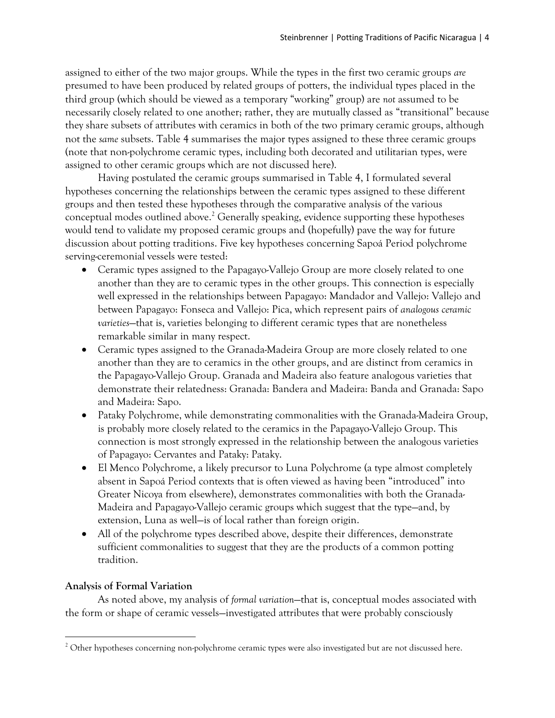assigned to either of the two major groups. While the types in the first two ceramic groups *are*  presumed to have been produced by related groups of potters, the individual types placed in the third group (which should be viewed as a temporary "working" group) are *not* assumed to be necessarily closely related to one another; rather, they are mutually classed as "transitional" because they share subsets of attributes with ceramics in both of the two primary ceramic groups, although not the *same* subsets. Table 4 summarises the major types assigned to these three ceramic groups (note that non-polychrome ceramic types, including both decorated and utilitarian types, were assigned to other ceramic groups which are not discussed here).

Having postulated the ceramic groups summarised in Table 4, I formulated several hypotheses concerning the relationships between the ceramic types assigned to these different groups and then tested these hypotheses through the comparative analysis of the various conceptual modes outlined above. <sup>2</sup> Generally speaking, evidence supporting these hypotheses would tend to validate my proposed ceramic groups and (hopefully) pave the way for future discussion about potting traditions. Five key hypotheses concerning Sapoá Period polychrome serving-ceremonial vessels were tested:

- Ceramic types assigned to the Papagayo-Vallejo Group are more closely related to one another than they are to ceramic types in the other groups. This connection is especially well expressed in the relationships between Papagayo: Mandador and Vallejo: Vallejo and between Papagayo: Fonseca and Vallejo: Pica, which represent pairs of *analogous ceramic varieties*—that is, varieties belonging to different ceramic types that are nonetheless remarkable similar in many respect.
- Ceramic types assigned to the Granada-Madeira Group are more closely related to one another than they are to ceramics in the other groups, and are distinct from ceramics in the Papagayo-Vallejo Group. Granada and Madeira also feature analogous varieties that demonstrate their relatedness: Granada: Bandera and Madeira: Banda and Granada: Sapo and Madeira: Sapo.
- Pataky Polychrome, while demonstrating commonalities with the Granada-Madeira Group, is probably more closely related to the ceramics in the Papagayo-Vallejo Group. This connection is most strongly expressed in the relationship between the analogous varieties of Papagayo: Cervantes and Pataky: Pataky.
- El Menco Polychrome, a likely precursor to Luna Polychrome (a type almost completely absent in Sapoá Period contexts that is often viewed as having been "introduced" into Greater Nicoya from elsewhere), demonstrates commonalities with both the Granada-Madeira and Papagayo-Vallejo ceramic groups which suggest that the type—and, by extension, Luna as well—is of local rather than foreign origin.
- All of the polychrome types described above, despite their differences, demonstrate sufficient commonalities to suggest that they are the products of a common potting tradition.

# **Analysis of Formal Variation**

 $\overline{a}$ 

As noted above, my analysis of *formal variation*—that is, conceptual modes associated with the form or shape of ceramic vessels—investigated attributes that were probably consciously

<sup>&</sup>lt;sup>2</sup> Other hypotheses concerning non-polychrome ceramic types were also investigated but are not discussed here.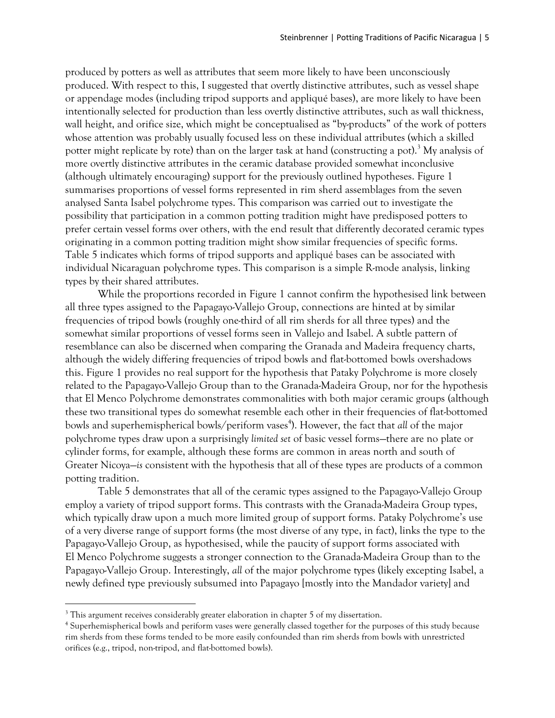produced by potters as well as attributes that seem more likely to have been unconsciously produced. With respect to this, I suggested that overtly distinctive attributes, such as vessel shape or appendage modes (including tripod supports and appliqué bases), are more likely to have been intentionally selected for production than less overtly distinctive attributes, such as wall thickness, wall height, and orifice size, which might be conceptualised as "by-products" of the work of potters whose attention was probably usually focused less on these individual attributes (which a skilled potter might replicate by rote) than on the larger task at hand (constructing a pot).<sup>3</sup> My analysis of more overtly distinctive attributes in the ceramic database provided somewhat inconclusive (although ultimately encouraging) support for the previously outlined hypotheses. Figure 1 summarises proportions of vessel forms represented in rim sherd assemblages from the seven analysed Santa Isabel polychrome types. This comparison was carried out to investigate the possibility that participation in a common potting tradition might have predisposed potters to prefer certain vessel forms over others, with the end result that differently decorated ceramic types originating in a common potting tradition might show similar frequencies of specific forms. Table 5 indicates which forms of tripod supports and appliqué bases can be associated with individual Nicaraguan polychrome types. This comparison is a simple R-mode analysis, linking types by their shared attributes.

While the proportions recorded in Figure 1 cannot confirm the hypothesised link between all three types assigned to the Papagayo-Vallejo Group, connections are hinted at by similar frequencies of tripod bowls (roughly one-third of all rim sherds for all three types) and the somewhat similar proportions of vessel forms seen in Vallejo and Isabel. A subtle pattern of resemblance can also be discerned when comparing the Granada and Madeira frequency charts, although the widely differing frequencies of tripod bowls and flat-bottomed bowls overshadows this. Figure 1 provides no real support for the hypothesis that Pataky Polychrome is more closely related to the Papagayo-Vallejo Group than to the Granada-Madeira Group, nor for the hypothesis that El Menco Polychrome demonstrates commonalities with both major ceramic groups (although these two transitional types do somewhat resemble each other in their frequencies of flat-bottomed bowls and superhemispherical bowls/periform vases<sup>4</sup>). However, the fact that all of the major polychrome types draw upon a surprisingly *limited set* of basic vessel forms—there are no plate or cylinder forms, for example, although these forms are common in areas north and south of Greater Nicoya—*is* consistent with the hypothesis that all of these types are products of a common potting tradition.

Table 5 demonstrates that all of the ceramic types assigned to the Papagayo-Vallejo Group employ a variety of tripod support forms. This contrasts with the Granada-Madeira Group types, which typically draw upon a much more limited group of support forms. Pataky Polychrome's use of a very diverse range of support forms (the most diverse of any type, in fact), links the type to the Papagayo-Vallejo Group, as hypothesised, while the paucity of support forms associated with El Menco Polychrome suggests a stronger connection to the Granada-Madeira Group than to the Papagayo-Vallejo Group. Interestingly, *all* of the major polychrome types (likely excepting Isabel, a newly defined type previously subsumed into Papagayo [mostly into the Mandador variety] and

 $3$  This argument receives considerably greater elaboration in chapter 5 of my dissertation.

<sup>&</sup>lt;sup>4</sup> Superhemispherical bowls and periform vases were generally classed together for the purposes of this study because rim sherds from these forms tended to be more easily confounded than rim sherds from bowls with unrestricted orifices (e.g., tripod, non-tripod, and flat-bottomed bowls).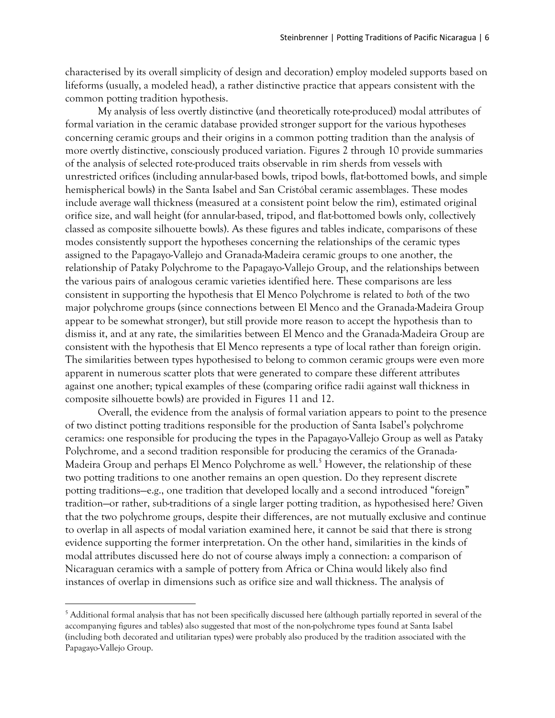characterised by its overall simplicity of design and decoration) employ modeled supports based on lifeforms (usually, a modeled head), a rather distinctive practice that appears consistent with the common potting tradition hypothesis.

My analysis of less overtly distinctive (and theoretically rote-produced) modal attributes of formal variation in the ceramic database provided stronger support for the various hypotheses concerning ceramic groups and their origins in a common potting tradition than the analysis of more overtly distinctive, consciously produced variation. Figures 2 through 10 provide summaries of the analysis of selected rote-produced traits observable in rim sherds from vessels with unrestricted orifices (including annular-based bowls, tripod bowls, flat-bottomed bowls, and simple hemispherical bowls) in the Santa Isabel and San Cristóbal ceramic assemblages. These modes include average wall thickness (measured at a consistent point below the rim), estimated original orifice size, and wall height (for annular-based, tripod, and flat-bottomed bowls only, collectively classed as composite silhouette bowls). As these figures and tables indicate, comparisons of these modes consistently support the hypotheses concerning the relationships of the ceramic types assigned to the Papagayo-Vallejo and Granada-Madeira ceramic groups to one another, the relationship of Pataky Polychrome to the Papagayo-Vallejo Group, and the relationships between the various pairs of analogous ceramic varieties identified here. These comparisons are less consistent in supporting the hypothesis that El Menco Polychrome is related to *both* of the two major polychrome groups (since connections between El Menco and the Granada-Madeira Group appear to be somewhat stronger), but still provide more reason to accept the hypothesis than to dismiss it, and at any rate, the similarities between El Menco and the Granada-Madeira Group are consistent with the hypothesis that El Menco represents a type of local rather than foreign origin. The similarities between types hypothesised to belong to common ceramic groups were even more apparent in numerous scatter plots that were generated to compare these different attributes against one another; typical examples of these (comparing orifice radii against wall thickness in composite silhouette bowls) are provided in Figures 11 and 12.

Overall, the evidence from the analysis of formal variation appears to point to the presence of two distinct potting traditions responsible for the production of Santa Isabel's polychrome ceramics: one responsible for producing the types in the Papagayo-Vallejo Group as well as Pataky Polychrome, and a second tradition responsible for producing the ceramics of the Granada-Madeira Group and perhaps El Menco Polychrome as well.<sup>5</sup> However, the relationship of these two potting traditions to one another remains an open question. Do they represent discrete potting traditions—e.g., one tradition that developed locally and a second introduced "foreign" tradition—or rather, sub-traditions of a single larger potting tradition, as hypothesised here? Given that the two polychrome groups, despite their differences, are not mutually exclusive and continue to overlap in all aspects of modal variation examined here, it cannot be said that there is strong evidence supporting the former interpretation. On the other hand, similarities in the kinds of modal attributes discussed here do not of course always imply a connection: a comparison of Nicaraguan ceramics with a sample of pottery from Africa or China would likely also find instances of overlap in dimensions such as orifice size and wall thickness. The analysis of

<sup>&</sup>lt;sup>5</sup> Additional formal analysis that has not been specifically discussed here (although partially reported in several of the accompanying figures and tables) also suggested that most of the non-polychrome types found at Santa Isabel (including both decorated and utilitarian types) were probably also produced by the tradition associated with the Papagayo-Vallejo Group.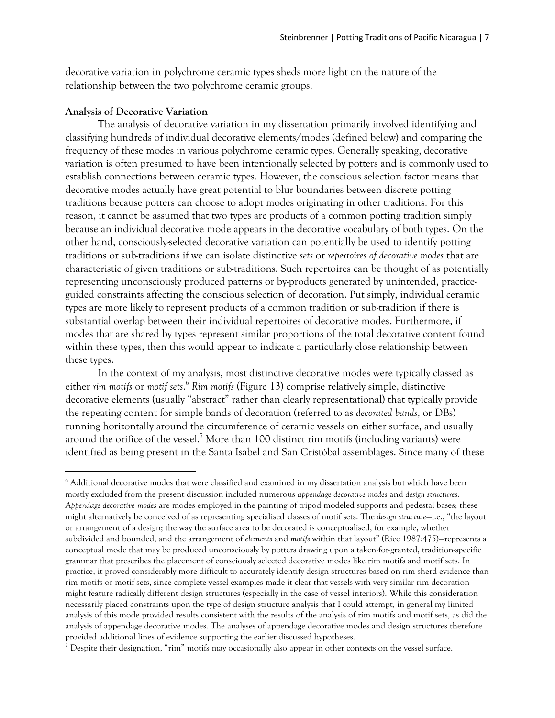decorative variation in polychrome ceramic types sheds more light on the nature of the relationship between the two polychrome ceramic groups.

#### **Analysis of Decorative Variation**

 $\overline{a}$ 

The analysis of decorative variation in my dissertation primarily involved identifying and classifying hundreds of individual decorative elements/modes (defined below) and comparing the frequency of these modes in various polychrome ceramic types. Generally speaking, decorative variation is often presumed to have been intentionally selected by potters and is commonly used to establish connections between ceramic types. However, the conscious selection factor means that decorative modes actually have great potential to blur boundaries between discrete potting traditions because potters can choose to adopt modes originating in other traditions. For this reason, it cannot be assumed that two types are products of a common potting tradition simply because an individual decorative mode appears in the decorative vocabulary of both types. On the other hand, consciously-selected decorative variation can potentially be used to identify potting traditions or sub-traditions if we can isolate distinctive *sets* or *repertoires of decorative modes* that are characteristic of given traditions or sub-traditions. Such repertoires can be thought of as potentially representing unconsciously produced patterns or by-products generated by unintended, practiceguided constraints affecting the conscious selection of decoration. Put simply, individual ceramic types are more likely to represent products of a common tradition or sub-tradition if there is substantial overlap between their individual repertoires of decorative modes. Furthermore, if modes that are shared by types represent similar proportions of the total decorative content found within these types, then this would appear to indicate a particularly close relationship between these types.

In the context of my analysis, most distinctive decorative modes were typically classed as either *rim motifs* or *motif sets*. <sup>6</sup> *Rim motifs* (Figure 13) comprise relatively simple, distinctive decorative elements (usually "abstract" rather than clearly representational) that typically provide the repeating content for simple bands of decoration (referred to as *decorated bands*, or DBs) running horizontally around the circumference of ceramic vessels on either surface, and usually around the orifice of the vessel.<sup>7</sup> More than 100 distinct rim motifs (including variants) were identified as being present in the Santa Isabel and San Cristóbal assemblages. Since many of these

 $6$  Additional decorative modes that were classified and examined in my dissertation analysis but which have been mostly excluded from the present discussion included numerous *appendage decorative modes* and *design structures*. *Appendage decorative modes* are modes employed in the painting of tripod modeled supports and pedestal bases; these might alternatively be conceived of as representing specialised classes of motif sets. The *design structure*—i.e., "the layout or arrangement of a design; the way the surface area to be decorated is conceptualised, for example, whether subdivided and bounded, and the arrangement of *elements* and *motifs* within that layout" (Rice 1987:475)—represents a conceptual mode that may be produced unconsciously by potters drawing upon a taken-for-granted, tradition-specific grammar that prescribes the placement of consciously selected decorative modes like rim motifs and motif sets. In practice, it proved considerably more difficult to accurately identify design structures based on rim sherd evidence than rim motifs or motif sets, since complete vessel examples made it clear that vessels with very similar rim decoration might feature radically different design structures (especially in the case of vessel interiors). While this consideration necessarily placed constraints upon the type of design structure analysis that I could attempt, in general my limited analysis of this mode provided results consistent with the results of the analysis of rim motifs and motif sets, as did the analysis of appendage decorative modes. The analyses of appendage decorative modes and design structures therefore provided additional lines of evidence supporting the earlier discussed hypotheses.

<sup>&</sup>lt;sup>7</sup> Despite their designation, "rim" motifs may occasionally also appear in other contexts on the vessel surface.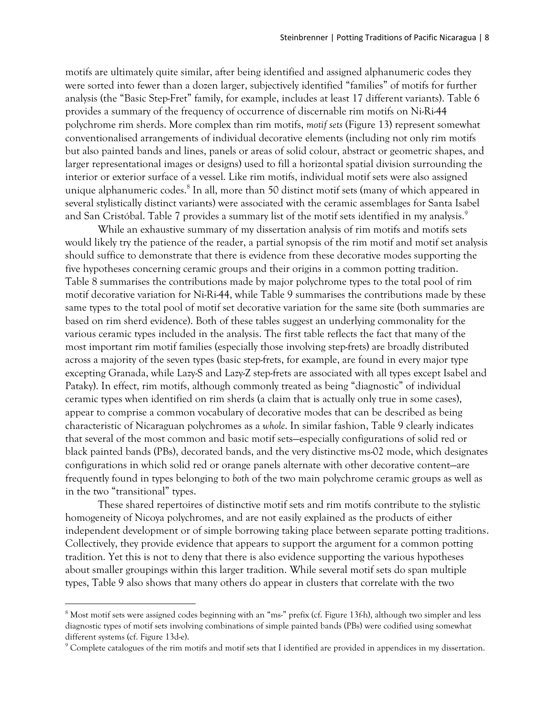motifs are ultimately quite similar, after being identified and assigned alphanumeric codes they were sorted into fewer than a dozen larger, subjectively identified "families" of motifs for further analysis (the "Basic Step-Fret" family, for example, includes at least 17 different variants). Table 6 provides a summary of the frequency of occurrence of discernable rim motifs on Ni-Ri-44 polychrome rim sherds. More complex than rim motifs, *motif sets* (Figure 13) represent somewhat conventionalised arrangements of individual decorative elements (including not only rim motifs but also painted bands and lines, panels or areas of solid colour, abstract or geometric shapes, and larger representational images or designs) used to fill a horizontal spatial division surrounding the interior or exterior surface of a vessel. Like rim motifs, individual motif sets were also assigned unique alphanumeric codes.<sup>8</sup> In all, more than 50 distinct motif sets (many of which appeared in several stylistically distinct variants) were associated with the ceramic assemblages for Santa Isabel and San Cristóbal. Table 7 provides a summary list of the motif sets identified in my analysis.<sup>9</sup>

While an exhaustive summary of my dissertation analysis of rim motifs and motifs sets would likely try the patience of the reader, a partial synopsis of the rim motif and motif set analysis should suffice to demonstrate that there is evidence from these decorative modes supporting the five hypotheses concerning ceramic groups and their origins in a common potting tradition. Table 8 summarises the contributions made by major polychrome types to the total pool of rim motif decorative variation for Ni-Ri-44, while Table 9 summarises the contributions made by these same types to the total pool of motif set decorative variation for the same site (both summaries are based on rim sherd evidence). Both of these tables suggest an underlying commonality for the various ceramic types included in the analysis. The first table reflects the fact that many of the most important rim motif families (especially those involving step-frets) are broadly distributed across a majority of the seven types (basic step-frets, for example, are found in every major type excepting Granada, while Lazy-S and Lazy-Z step-frets are associated with all types except Isabel and Pataky). In effect, rim motifs, although commonly treated as being "diagnostic" of individual ceramic types when identified on rim sherds (a claim that is actually only true in some cases), appear to comprise a common vocabulary of decorative modes that can be described as being characteristic of Nicaraguan polychromes as a *whole*. In similar fashion, Table 9 clearly indicates that several of the most common and basic motif sets—especially configurations of solid red or black painted bands (PBs), decorated bands, and the very distinctive ms-02 mode, which designates configurations in which solid red or orange panels alternate with other decorative content—are frequently found in types belonging to *both* of the two main polychrome ceramic groups as well as in the two "transitional" types.

These shared repertoires of distinctive motif sets and rim motifs contribute to the stylistic homogeneity of Nicoya polychromes, and are not easily explained as the products of either independent development or of simple borrowing taking place between separate potting traditions. Collectively, they provide evidence that appears to support the argument for a common potting tradition. Yet this is not to deny that there is also evidence supporting the various hypotheses about smaller groupings within this larger tradition. While several motif sets do span multiple types, Table 9 also shows that many others do appear in clusters that correlate with the two

<sup>&</sup>lt;sup>8</sup> Most motif sets were assigned codes beginning with an "ms-" prefix (cf. Figure 13f-h), although two simpler and less diagnostic types of motif sets involving combinations of simple painted bands (PBs) were codified using somewhat different systems (cf. Figure 13d-e).

 $9$  Complete catalogues of the rim motifs and motif sets that I identified are provided in appendices in my dissertation.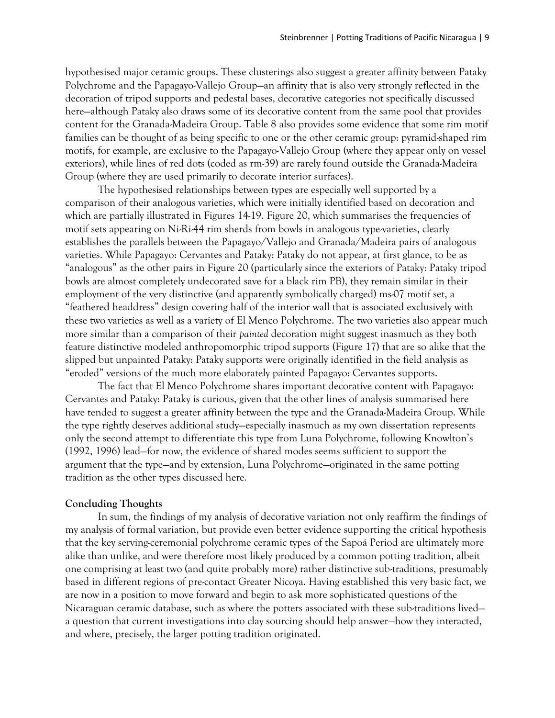hypothesised major ceramic groups. These clusterings also suggest a greater affinity between Pataky Polychrome and the Papagayo-Vallejo Group—an affinity that is also very strongly reflected in the decoration of tripod supports and pedestal bases, decorative categories not specifically discussed here—although Pataky also draws some of its decorative content from the same pool that provides content for the Granada-Madeira Group. Table 8 also provides some evidence that some rim motif families can be thought of as being specific to one or the other ceramic group: pyramid-shaped rim motifs, for example, are exclusive to the Papagayo-Vallejo Group (where they appear only on vessel exteriors), while lines of red dots (coded as rm-39) are rarely found outside the Granada-Madeira Group (where they are used primarily to decorate interior surfaces).

The hypothesised relationships between types are especially well supported by a comparison of their analogous varieties, which were initially identified based on decoration and which are partially illustrated in Figures 14-19. Figure 20, which summarises the frequencies of motif sets appearing on Ni-Ri-44 rim sherds from bowls in analogous type-varieties, clearly establishes the parallels between the Papagayo/Vallejo and Granada/Madeira pairs of analogous varieties. While Papagayo: Cervantes and Pataky: Pataky do not appear, at first glance, to be as "analogous" as the other pairs in Figure 20 (particularly since the exteriors of Pataky: Pataky tripod bowls are almost completely undecorated save for a black rim PB), they remain similar in their employment of the very distinctive (and apparently symbolically charged) ms-07 motif set, a "feathered headdress" design covering half of the interior wall that is associated exclusively with these two varieties as well as a variety of El Menco Polychrome. The two varieties also appear much more similar than a comparison of their *painted* decoration might suggest inasmuch as they both feature distinctive modeled anthropomorphic tripod supports (Figure 17) that are so alike that the slipped but unpainted Pataky: Pataky supports were originally identified in the field analysis as "eroded" versions of the much more elaborately painted Papagayo: Cervantes supports.

The fact that El Menco Polychrome shares important decorative content with Papagayo: Cervantes and Pataky: Pataky is curious, given that the other lines of analysis summarised here have tended to suggest a greater affinity between the type and the Granada-Madeira Group. While the type rightly deserves additional study—especially inasmuch as my own dissertation represents only the second attempt to differentiate this type from Luna Polychrome, following Knowlton's (1992, 1996) lead—for now, the evidence of shared modes seems sufficient to support the argument that the type—and by extension, Luna Polychrome—originated in the same potting tradition as the other types discussed here.

### **Concluding Thoughts**

In sum, the findings of my analysis of decorative variation not only reaffirm the findings of my analysis of formal variation, but provide even better evidence supporting the critical hypothesis that the key serving-ceremonial polychrome ceramic types of the Sapoá Period are ultimately more alike than unlike, and were therefore most likely produced by a common potting tradition, albeit one comprising at least two (and quite probably more) rather distinctive sub-traditions, presumably based in different regions of pre-contact Greater Nicoya. Having established this very basic fact, we are now in a position to move forward and begin to ask more sophisticated questions of the Nicaraguan ceramic database, such as where the potters associated with these sub-traditions lived a question that current investigations into clay sourcing should help answer—how they interacted, and where, precisely, the larger potting tradition originated.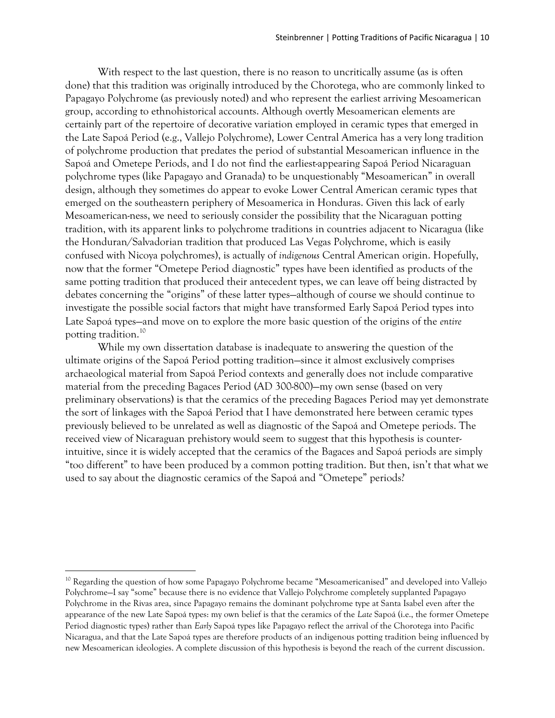With respect to the last question, there is no reason to uncritically assume (as is often done) that this tradition was originally introduced by the Chorotega, who are commonly linked to Papagayo Polychrome (as previously noted) and who represent the earliest arriving Mesoamerican group, according to ethnohistorical accounts. Although overtly Mesoamerican elements are certainly part of the repertoire of decorative variation employed in ceramic types that emerged in the Late Sapoá Period (e.g., Vallejo Polychrome), Lower Central America has a very long tradition of polychrome production that predates the period of substantial Mesoamerican influence in the Sapoá and Ometepe Periods, and I do not find the earliest-appearing Sapoá Period Nicaraguan polychrome types (like Papagayo and Granada) to be unquestionably "Mesoamerican" in overall design, although they sometimes do appear to evoke Lower Central American ceramic types that emerged on the southeastern periphery of Mesoamerica in Honduras. Given this lack of early Mesoamerican-ness, we need to seriously consider the possibility that the Nicaraguan potting tradition, with its apparent links to polychrome traditions in countries adjacent to Nicaragua (like the Honduran/Salvadorian tradition that produced Las Vegas Polychrome, which is easily confused with Nicoya polychromes), is actually of *indigenous* Central American origin. Hopefully, now that the former "Ometepe Period diagnostic" types have been identified as products of the same potting tradition that produced their antecedent types, we can leave off being distracted by debates concerning the "origins" of these latter types—although of course we should continue to investigate the possible social factors that might have transformed Early Sapoá Period types into Late Sapoá types—and move on to explore the more basic question of the origins of the *entire*  potting tradition. 10

While my own dissertation database is inadequate to answering the question of the ultimate origins of the Sapoá Period potting tradition—since it almost exclusively comprises archaeological material from Sapoá Period contexts and generally does not include comparative material from the preceding Bagaces Period (AD 300-800)—my own sense (based on very preliminary observations) is that the ceramics of the preceding Bagaces Period may yet demonstrate the sort of linkages with the Sapoá Period that I have demonstrated here between ceramic types previously believed to be unrelated as well as diagnostic of the Sapoá and Ometepe periods. The received view of Nicaraguan prehistory would seem to suggest that this hypothesis is counterintuitive, since it is widely accepted that the ceramics of the Bagaces and Sapoá periods are simply "too different" to have been produced by a common potting tradition. But then, isn't that what we used to say about the diagnostic ceramics of the Sapoá and "Ometepe" periods?

<sup>&</sup>lt;sup>10</sup> Regarding the question of how some Papagayo Polychrome became "Mesoamericanised" and developed into Vallejo Polychrome—I say "some" because there is no evidence that Vallejo Polychrome completely supplanted Papagayo Polychrome in the Rivas area, since Papagayo remains the dominant polychrome type at Santa Isabel even after the appearance of the new Late Sapoá types: my own belief is that the ceramics of the *Late* Sapoá (i.e., the former Ometepe Period diagnostic types) rather than *Early* Sapoá types like Papagayo reflect the arrival of the Chorotega into Pacific Nicaragua, and that the Late Sapoá types are therefore products of an indigenous potting tradition being influenced by new Mesoamerican ideologies. A complete discussion of this hypothesis is beyond the reach of the current discussion.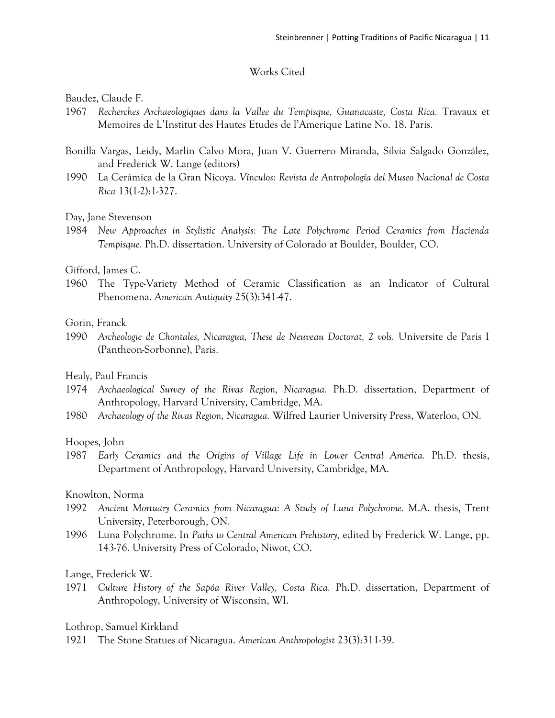# Works Cited

Baudez, Claude F.

- 1967 *Recherches Archaeologiques dans la Vallee du Tempisque, Guanacaste, Costa Rica.* Travaux et Memoires de L'Institut des Hautes Etudes de l'Amerique Latine No. 18. Paris.
- Bonilla Vargas, Leidy, Marlin Calvo Mora, Juan V. Guerrero Miranda, Silvia Salgado González, and Frederick W. Lange (editors)
- 1990 La Cerámica de la Gran Nicoya. *Vínculos: Revista de Antropología del Museo Nacional de Costa Rica* 13(1-2):1-327.

## Day, Jane Stevenson

1984 *New Approaches in Stylistic Analysis: The Late Polychrome Period Ceramics from Hacienda Tempisque.* Ph.D. dissertation. University of Colorado at Boulder, Boulder, CO.

## Gifford, James C.

1960 The Type-Variety Method of Ceramic Classification as an Indicator of Cultural Phenomena. *American Antiquity* 25(3):341-47.

# Gorin, Franck

1990 *Archeologie de Chontales, Nicaragua, These de Neuveau Doctorat, 2 vols.* Universite de Paris I (Pantheon-Sorbonne), Paris.

# Healy, Paul Francis

- 1974 *Archaeological Survey of the Rivas Region, Nicaragua.* Ph.D. dissertation, Department of Anthropology, Harvard University, Cambridge, MA.
- 1980 *Archaeology of the Rivas Region, Nicaragua.* Wilfred Laurier University Press, Waterloo, ON.

### Hoopes, John

1987 *Early Ceramics and the Origins of Village Life in Lower Central America.* Ph.D. thesis, Department of Anthropology, Harvard University, Cambridge, MA.

# Knowlton, Norma

- 1992 *Ancient Mortuary Ceramics from Nicaragua: A Study of Luna Polychrome.* M.A. thesis, Trent University, Peterborough, ON.
- 1996 Luna Polychrome. In *Paths to Central American Prehistory,* edited by Frederick W. Lange, pp. 143-76. University Press of Colorado, Niwot, CO.

# Lange, Frederick W.

1971 *Culture History of the Sapóa River Valley, Costa Rica.* Ph.D. dissertation, Department of Anthropology, University of Wisconsin, WI.

Lothrop, Samuel Kirkland

1921 The Stone Statues of Nicaragua. *American Anthropologist* 23(3):311-39.